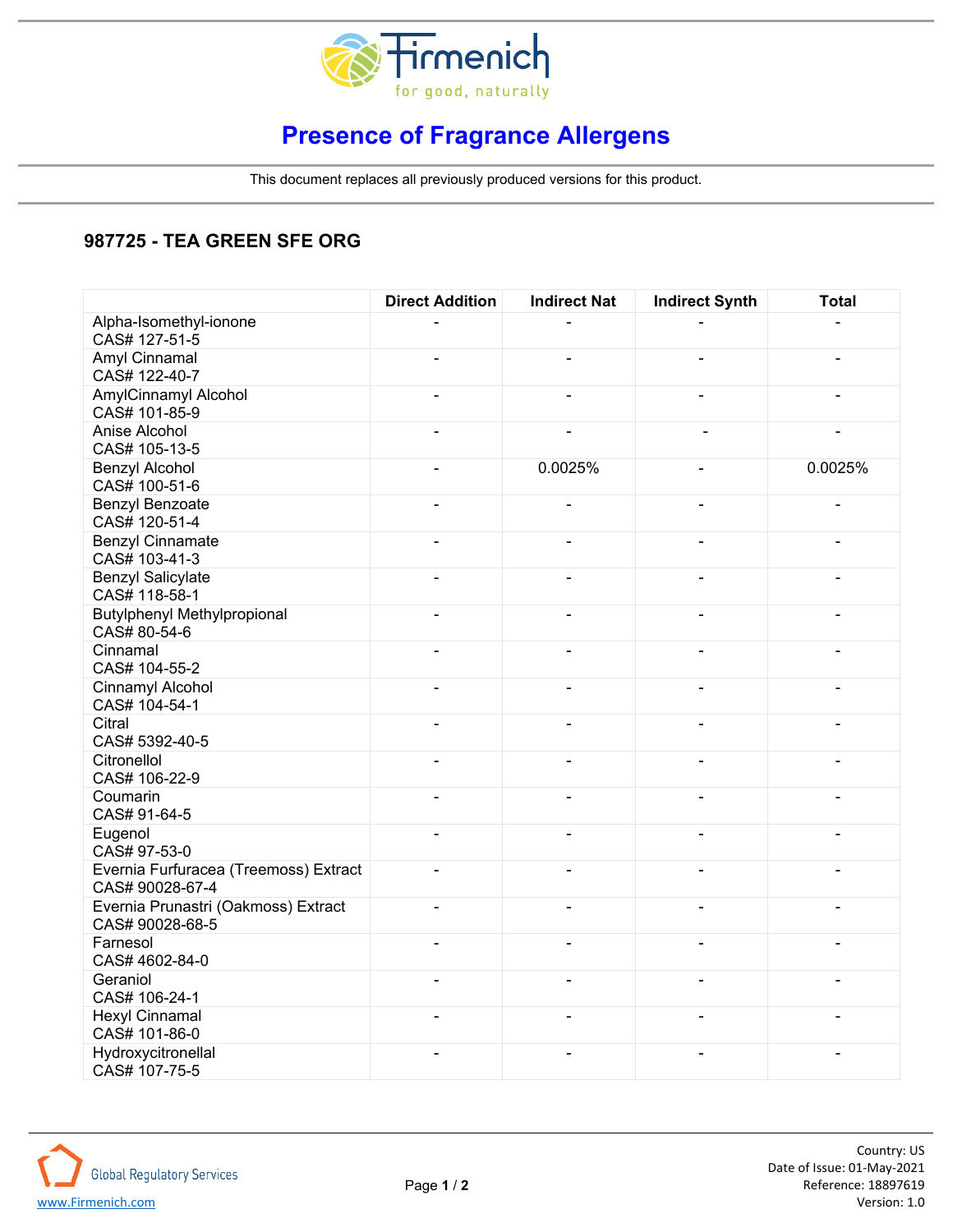

## **Presence of Fragrance Allergens**

This document replaces all previously produced versions for this product.

## **987725 - TEA GREEN SFE ORG**

|                                                          | <b>Direct Addition</b>   | <b>Indirect Nat</b>      | <b>Indirect Synth</b>    | <b>Total</b>             |
|----------------------------------------------------------|--------------------------|--------------------------|--------------------------|--------------------------|
| Alpha-Isomethyl-ionone<br>CAS# 127-51-5                  |                          |                          |                          |                          |
| Amyl Cinnamal<br>CAS# 122-40-7                           | $\blacksquare$           | $\overline{\phantom{0}}$ | $\overline{\phantom{0}}$ | ÷,                       |
| AmylCinnamyl Alcohol<br>CAS# 101-85-9                    | $\blacksquare$           | $\blacksquare$           | $\overline{\phantom{0}}$ | ÷,                       |
| Anise Alcohol<br>CAS# 105-13-5                           | $\blacksquare$           | $\blacksquare$           | $\overline{a}$           | $\blacksquare$           |
| <b>Benzyl Alcohol</b><br>CAS# 100-51-6                   | $\blacksquare$           | 0.0025%                  | $\overline{a}$           | 0.0025%                  |
| Benzyl Benzoate<br>CAS# 120-51-4                         | $\blacksquare$           | $\overline{\phantom{0}}$ | $\overline{\phantom{0}}$ | $\overline{a}$           |
| <b>Benzyl Cinnamate</b><br>CAS# 103-41-3                 | $\overline{a}$           | $\blacksquare$           | $\overline{\phantom{0}}$ |                          |
| <b>Benzyl Salicylate</b><br>CAS# 118-58-1                | $\blacksquare$           | $\overline{\phantom{a}}$ | $\overline{\phantom{0}}$ | L,                       |
| <b>Butylphenyl Methylpropional</b><br>CAS# 80-54-6       | $\blacksquare$           | $\blacksquare$           | $\overline{\phantom{0}}$ | ÷,                       |
| Cinnamal<br>CAS# 104-55-2                                | $\blacksquare$           | $\overline{\phantom{a}}$ | $\overline{\phantom{0}}$ | $\blacksquare$           |
| Cinnamyl Alcohol<br>CAS# 104-54-1                        | $\overline{a}$           | $\blacksquare$           | $\overline{\phantom{0}}$ | $\overline{a}$           |
| Citral<br>CAS# 5392-40-5                                 | $\overline{a}$           | L,                       | L,                       | L,                       |
| Citronellol<br>CAS# 106-22-9                             | $\blacksquare$           | $\blacksquare$           | L,                       | $\overline{\phantom{0}}$ |
| Coumarin<br>CAS# 91-64-5                                 | $\blacksquare$           | $\overline{\phantom{a}}$ | $\overline{\phantom{0}}$ | L,                       |
| Eugenol<br>CAS# 97-53-0                                  | $\overline{\phantom{a}}$ | $\overline{\phantom{0}}$ | $\overline{\phantom{0}}$ | ÷,                       |
| Evernia Furfuracea (Treemoss) Extract<br>CAS# 90028-67-4 | $\blacksquare$           | $\blacksquare$           | $\overline{\phantom{0}}$ | $\blacksquare$           |
| Evernia Prunastri (Oakmoss) Extract<br>CAS# 90028-68-5   | $\blacksquare$           | $\overline{\phantom{a}}$ | $\overline{\phantom{0}}$ | L,                       |
| Farnesol<br>CAS# 4602-84-0                               | $\blacksquare$           | $\overline{\phantom{a}}$ | L,                       | L,                       |
| Geraniol<br>CAS# 106-24-1                                | $\blacksquare$           | $\overline{\phantom{a}}$ | $\overline{\phantom{0}}$ | L,                       |
| <b>Hexyl Cinnamal</b><br>CAS# 101-86-0                   | $\blacksquare$           | $\overline{\phantom{a}}$ | $\overline{\phantom{0}}$ |                          |
| Hydroxycitronellal<br>CAS# 107-75-5                      | $\blacksquare$           | $\overline{\phantom{0}}$ | $\overline{\phantom{0}}$ | ÷,                       |